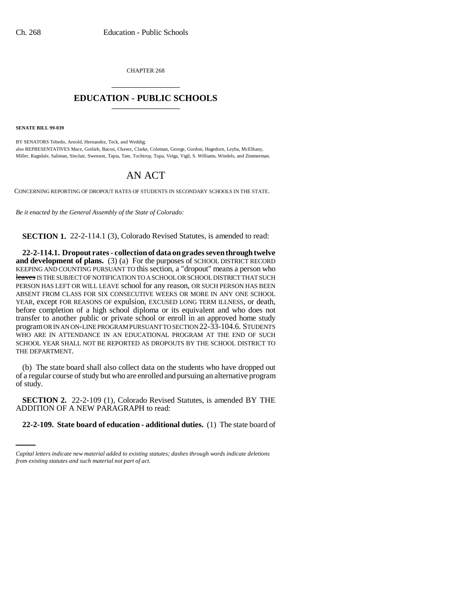CHAPTER 268 \_\_\_\_\_\_\_\_\_\_\_\_\_\_\_

## **EDUCATION - PUBLIC SCHOOLS** \_\_\_\_\_\_\_\_\_\_\_\_\_\_\_

**SENATE BILL 99-039** 

BY SENATORS Tebedo, Arnold, Hernandez, Teck, and Weddig; also REPRESENTATIVES Mace, Gotlieb, Bacon, Chavez, Clarke, Coleman, George, Gordon, Hagedorn, Leyba, McElhany, Miller, Ragsdale, Saliman, Sinclair, Swenson, Tapia, Tate, Tochtrop, Tupa, Veiga, Vigil, S. Williams, Windels, and Zimmerman.

## AN ACT

CONCERNING REPORTING OF DROPOUT RATES OF STUDENTS IN SECONDARY SCHOOLS IN THE STATE.

*Be it enacted by the General Assembly of the State of Colorado:*

**SECTION 1.** 22-2-114.1 (3), Colorado Revised Statutes, is amended to read:

**22-2-114.1. Dropout rates - collection of data on grades seven through twelve and development of plans.** (3) (a) For the purposes of SCHOOL DISTRICT RECORD KEEPING AND COUNTING PURSUANT TO this section, a "dropout" means a person who leaves IS THE SUBJECT OF NOTIFICATION TO A SCHOOL OR SCHOOL DISTRICT THAT SUCH PERSON HAS LEFT OR WILL LEAVE school for any reason, OR SUCH PERSON HAS BEEN ABSENT FROM CLASS FOR SIX CONSECUTIVE WEEKS OR MORE IN ANY ONE SCHOOL YEAR, except FOR REASONS OF expulsion, EXCUSED LONG TERM ILLNESS, or death, before completion of a high school diploma or its equivalent and who does not transfer to another public or private school or enroll in an approved home study program OR IN AN ON-LINE PROGRAM PURSUANT TO SECTION 22-33-104.6. STUDENTS WHO ARE IN ATTENDANCE IN AN EDUCATIONAL PROGRAM AT THE END OF SUCH SCHOOL YEAR SHALL NOT BE REPORTED AS DROPOUTS BY THE SCHOOL DISTRICT TO THE DEPARTMENT.

(b) The state board shall also collect data on the students who have dropped out of a regular course of study but who are enrolled and pursuing an alternative program of study.

ADDITION OF A NEW PARAGRAPH to read: **SECTION 2.** 22-2-109 (1), Colorado Revised Statutes, is amended BY THE

**22-2-109. State board of education - additional duties.** (1) The state board of

*Capital letters indicate new material added to existing statutes; dashes through words indicate deletions from existing statutes and such material not part of act.*